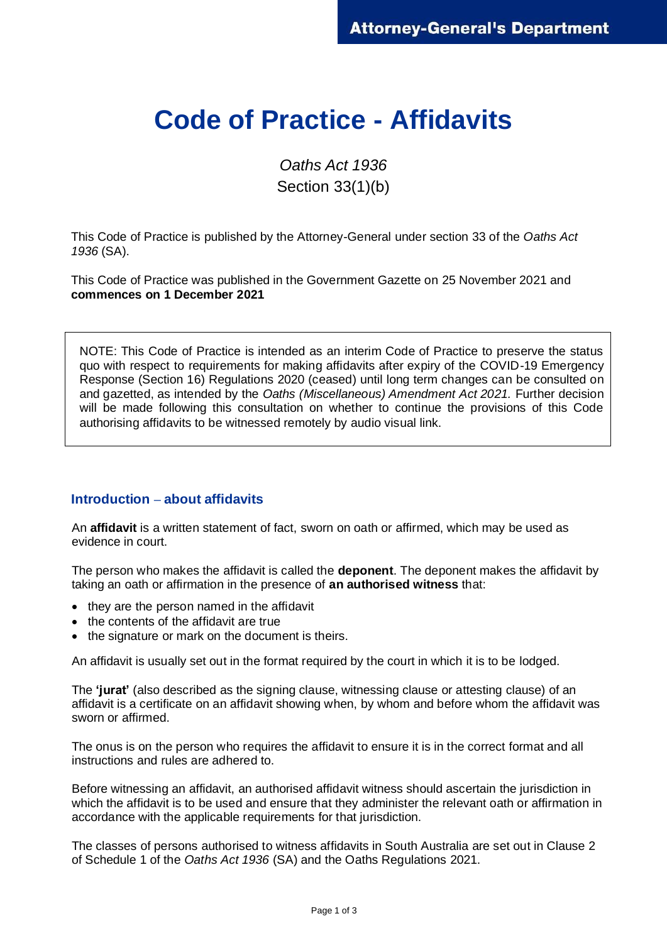# **Code of Practice - Affidavits**

*Oaths Act 1936*  Section 33(1)(b)

This Code of Practice is published by the Attorney-General under section 33 of the *Oaths Act 1936* (SA).

This Code of Practice was published in the Government Gazette on 25 November 2021 and **commences on 1 December 2021**

NOTE: This Code of Practice is intended as an interim Code of Practice to preserve the status quo with respect to requirements for making affidavits after expiry of the COVID-19 Emergency Response (Section 16) Regulations 2020 (ceased) until long term changes can be consulted on and gazetted, as intended by the *Oaths (Miscellaneous) Amendment Act 2021.* Further decision will be made following this consultation on whether to continue the provisions of this Code authorising affidavits to be witnessed remotely by audio visual link.

# **Introduction – about affidavits**

An **affidavit** is a written statement of fact, sworn on oath or affirmed, which may be used as evidence in court.

The person who makes the affidavit is called the **deponent**. The deponent makes the affidavit by taking an oath or affirmation in the presence of **an authorised witness** that:

- they are the person named in the affidavit
- the contents of the affidavit are true
- the signature or mark on the document is theirs.

An affidavit is usually set out in the format required by the court in which it is to be lodged.

The **'jurat'** (also described as the signing clause, witnessing clause or attesting clause) of an affidavit is a certificate on an affidavit showing when, by whom and before whom the affidavit was sworn or affirmed.

The onus is on the person who requires the affidavit to ensure it is in the correct format and all instructions and rules are adhered to.

Before witnessing an affidavit, an authorised affidavit witness should ascertain the jurisdiction in which the affidavit is to be used and ensure that they administer the relevant oath or affirmation in accordance with the applicable requirements for that jurisdiction.

The classes of persons authorised to witness affidavits in South Australia are set out in Clause 2 of Schedule 1 of the *Oaths Act 1936* (SA) and the Oaths Regulations 2021.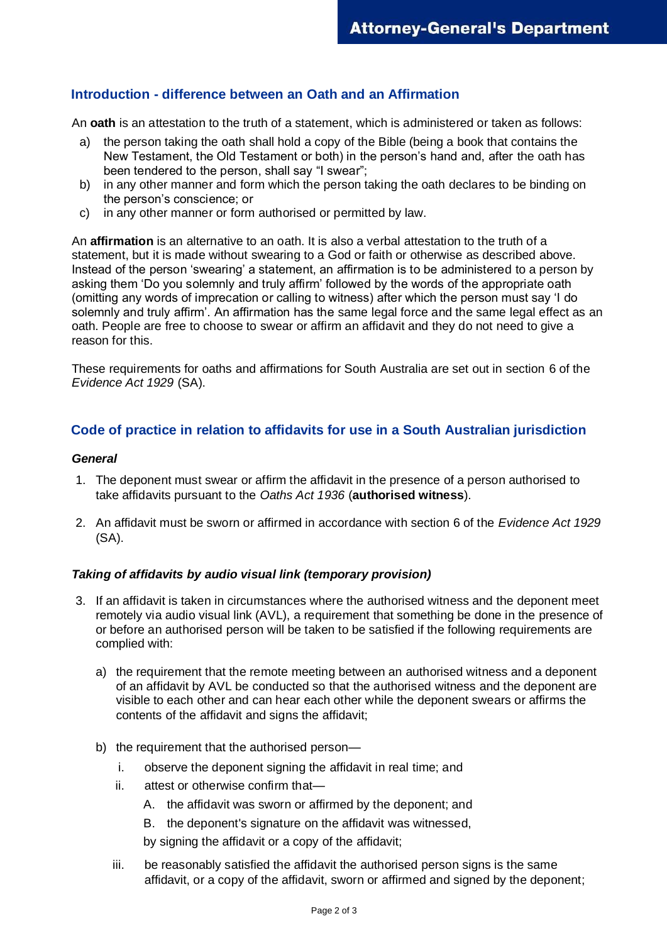## **Introduction - difference between an Oath and an Affirmation**

An **oath** is an attestation to the truth of a statement, which is administered or taken as follows:

- a) the person taking the oath shall hold a copy of the Bible (being a book that contains the New Testament, the Old Testament or both) in the person's hand and, after the oath has been tendered to the person, shall say "I swear";
- b) in any other manner and form which the person taking the oath declares to be binding on the person's conscience; or
- c) in any other manner or form authorised or permitted by law.

An **affirmation** is an alternative to an oath. It is also a verbal attestation to the truth of a statement, but it is made without swearing to a God or faith or otherwise as described above. Instead of the person 'swearing' a statement, an affirmation is to be administered to a person by asking them 'Do you solemnly and truly affirm' followed by the words of the appropriate oath (omitting any words of imprecation or calling to witness) after which the person must say 'I do solemnly and truly affirm'. An affirmation has the same legal force and the same legal effect as an oath. People are free to choose to swear or affirm an affidavit and they do not need to give a reason for this.

These requirements for oaths and affirmations for South Australia are set out in section 6 of the *Evidence Act 1929* (SA).

### **Code of practice in relation to affidavits for use in a South Australian jurisdiction**

#### *General*

- 1. The deponent must swear or affirm the affidavit in the presence of a person authorised to take affidavits pursuant to the *Oaths Act 1936* (**authorised witness**).
- 2. An affidavit must be sworn or affirmed in accordance with section 6 of the *Evidence Act 1929* (SA).

#### *Taking of affidavits by audio visual link (temporary provision)*

- 3. If an affidavit is taken in circumstances where the authorised witness and the deponent meet remotely via audio visual link (AVL), a requirement that something be done in the presence of or before an authorised person will be taken to be satisfied if the following requirements are complied with:
	- a) the requirement that the remote meeting between an authorised witness and a deponent of an affidavit by AVL be conducted so that the authorised witness and the deponent are visible to each other and can hear each other while the deponent swears or affirms the contents of the affidavit and signs the affidavit;
	- b) the requirement that the authorised person
		- i. observe the deponent signing the affidavit in real time; and
		- ii. attest or otherwise confirm that—
			- A. the affidavit was sworn or affirmed by the deponent; and
			- B. the deponent's signature on the affidavit was witnessed,
			- by signing the affidavit or a copy of the affidavit;
		- iii. be reasonably satisfied the affidavit the authorised person signs is the same affidavit, or a copy of the affidavit, sworn or affirmed and signed by the deponent;